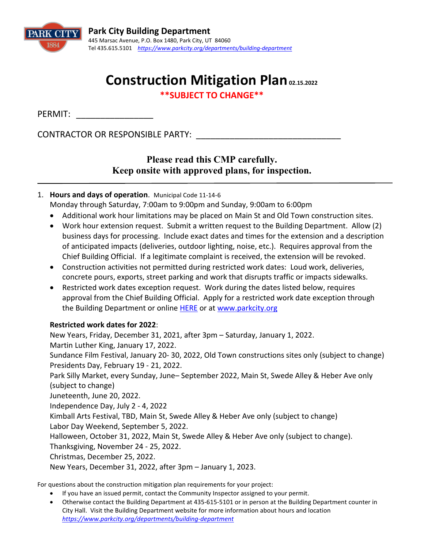

# **Construction Mitigation Plan 02.15.2022**

**\*\*SUBJECT TO CHANGE\*\***

PERMIT:

CONTRACTOR OR RESPONSIBLE PARTY:

# **Please read this CMP carefully. Keep onsite with approved plans, for inspection.**

1. **Hours and days of operation**. Municipal Code 11-14-6

Monday through Saturday, 7:00am to 9:00pm and Sunday, 9:00am to 6:00pm

- Additional work hour limitations may be placed on Main St and Old Town construction sites.
- Work hour extension request. Submit a written request to the Building Department. Allow (2) business days for processing. Include exact dates and times for the extension and a description of anticipated impacts (deliveries, outdoor lighting, noise, etc.). Requires approval from the Chief Building Official. If a legitimate complaint is received, the extension will be revoked.
- Construction activities not permitted during restricted work dates: Loud work, deliveries, concrete pours, exports, street parking and work that disrupts traffic or impacts sidewalks.
- Restricted work dates exception request. Work during the dates listed below, requires approval from the Chief Building Official. Apply for a restricted work date exception through the Building Department or online [HERE](https://www.parkcity.org/departments/building-department/forms-and-other-information/restricted-work-dates-exception-request-form) or at [www.parkcity.org](http://www.parkcity.org/)

# **Restricted work dates for 2022**:

New Years, Friday, December 31, 2021, after 3pm – Saturday, January 1, 2022. Martin Luther King, January 17, 2022. Sundance Film Festival, January 20- 30, 2022, Old Town constructions sites only (subject to change) Presidents Day, February 19 - 21, 2022. Park Silly Market, every Sunday, June– September 2022, Main St, Swede Alley & Heber Ave only (subject to change) Juneteenth, June 20, 2022. Independence Day, July 2 - 4, 2022 Kimball Arts Festival, TBD, Main St, Swede Alley & Heber Ave only (subject to change) Labor Day Weekend, September 5, 2022. Halloween, October 31, 2022, Main St, Swede Alley & Heber Ave only (subject to change).

Thanksgiving, November 24 - 25, 2022.

Christmas, December 25, 2022.

New Years, December 31, 2022, after 3pm – January 1, 2023.

- If you have an issued permit, contact the Community Inspector assigned to your permit.
- Otherwise contact the Building Department at 435-615-5101 or in person at the Building Department counter in City Hall. Visit the Building Department website for more information about hours and location *<https://www.parkcity.org/departments/building-department>*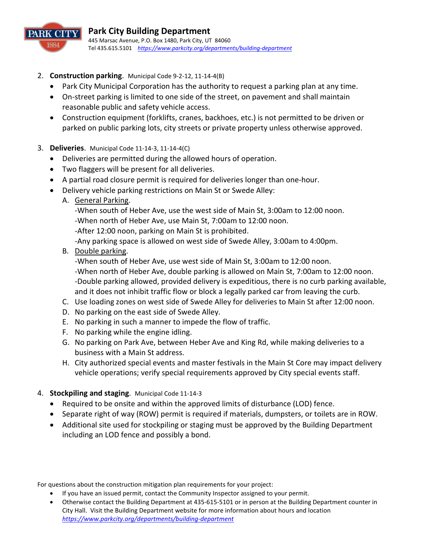

- 2. **Construction parking**. Municipal Code 9-2-12, 11-14-4(B)
	- Park City Municipal Corporation has the authority to request a parking plan at any time.
	- On-street parking is limited to one side of the street, on pavement and shall maintain reasonable public and safety vehicle access.
	- Construction equipment (forklifts, cranes, backhoes, etc.) is not permitted to be driven or parked on public parking lots, city streets or private property unless otherwise approved.
- 3. **Deliveries**. Municipal Code 11-14-3, 11-14-4(C)
	- Deliveries are permitted during the allowed hours of operation.
	- Two flaggers will be present for all deliveries.
	- A partial road closure permit is required for deliveries longer than one-hour.
	- Delivery vehicle parking restrictions on Main St or Swede Alley:
		- A. General Parking.
			- -When south of Heber Ave, use the west side of Main St, 3:00am to 12:00 noon.
			- -When north of Heber Ave, use Main St, 7:00am to 12:00 noon.
			- -After 12:00 noon, parking on Main St is prohibited.
			- -Any parking space is allowed on west side of Swede Alley, 3:00am to 4:00pm.
		- B. Double parking.
			- -When south of Heber Ave, use west side of Main St, 3:00am to 12:00 noon.
			- -When north of Heber Ave, double parking is allowed on Main St, 7:00am to 12:00 noon. -Double parking allowed, provided delivery is expeditious, there is no curb parking available, and it does not inhibit traffic flow or block a legally parked car from leaving the curb.
		- C. Use loading zones on west side of Swede Alley for deliveries to Main St after 12:00 noon.
		- D. No parking on the east side of Swede Alley.
		- E. No parking in such a manner to impede the flow of traffic.
		- F. No parking while the engine idling.
		- G. No parking on Park Ave, between Heber Ave and King Rd, while making deliveries to a business with a Main St address.
		- H. City authorized special events and master festivals in the Main St Core may impact delivery vehicle operations; verify special requirements approved by City special events staff.
- 4. **Stockpiling and staging**. Municipal Code 11-14-3
	- Required to be onsite and within the approved limits of disturbance (LOD) fence.
	- Separate right of way (ROW) permit is required if materials, dumpsters, or toilets are in ROW.
	- Additional site used for stockpiling or staging must be approved by the Building Department including an LOD fence and possibly a bond.

- If you have an issued permit, contact the Community Inspector assigned to your permit.
- Otherwise contact the Building Department at 435-615-5101 or in person at the Building Department counter in City Hall. Visit the Building Department website for more information about hours and location *<https://www.parkcity.org/departments/building-department>*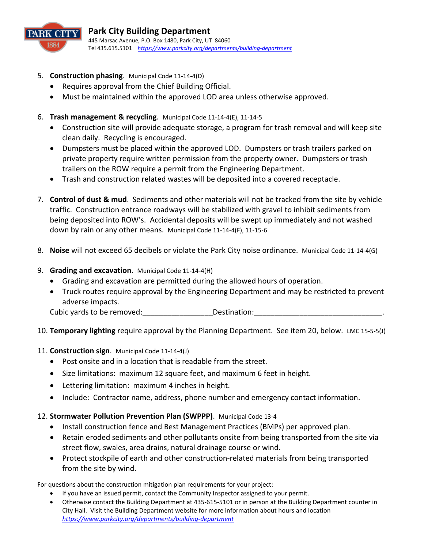

- 5. **Construction phasing**. Municipal Code 11-14-4(D)
	- Requires approval from the Chief Building Official.
	- Must be maintained within the approved LOD area unless otherwise approved.
- 6. **Trash management & recycling**. Municipal Code 11-14-4(E), 11-14-5
	- Construction site will provide adequate storage, a program for trash removal and will keep site clean daily. Recycling is encouraged.
	- Dumpsters must be placed within the approved LOD. Dumpsters or trash trailers parked on private property require written permission from the property owner. Dumpsters or trash trailers on the ROW require a permit from the Engineering Department.
	- Trash and construction related wastes will be deposited into a covered receptacle.
- 7. **Control of dust & mud**. Sediments and other materials will not be tracked from the site by vehicle traffic. Construction entrance roadways will be stabilized with gravel to inhibit sediments from being deposited into ROW's. Accidental deposits will be swept up immediately and not washed down by rain or any other means. Municipal Code 11-14-4(F), 11-15-6
- 8. **Noise** will not exceed 65 decibels or violate the Park City noise ordinance. Municipal Code 11-14-4(G)
- 9. **Grading and excavation**. Municipal Code 11-14-4(H)
	- Grading and excavation are permitted during the allowed hours of operation.
	- Truck routes require approval by the Engineering Department and may be restricted to prevent adverse impacts.

Cubic yards to be removed: The position Destination:

### 10. **Temporary lighting** require approval by the Planning Department. See item 20, below. LMC 15-5-5(J)

### 11. **Construction sign**. Municipal Code 11-14-4(J)

- Post onsite and in a location that is readable from the street.
- Size limitations: maximum 12 square feet, and maximum 6 feet in height.
- Lettering limitation: maximum 4 inches in height.
- Include: Contractor name, address, phone number and emergency contact information.

### 12. **Stormwater Pollution Prevention Plan (SWPPP)**. Municipal Code 13-4

- Install construction fence and Best Management Practices (BMPs) per approved plan.
- Retain eroded sediments and other pollutants onsite from being transported from the site via street flow, swales, area drains, natural drainage course or wind.
- Protect stockpile of earth and other construction-related materials from being transported from the site by wind.

- If you have an issued permit, contact the Community Inspector assigned to your permit.
- Otherwise contact the Building Department at 435-615-5101 or in person at the Building Department counter in City Hall. Visit the Building Department website for more information about hours and location *<https://www.parkcity.org/departments/building-department>*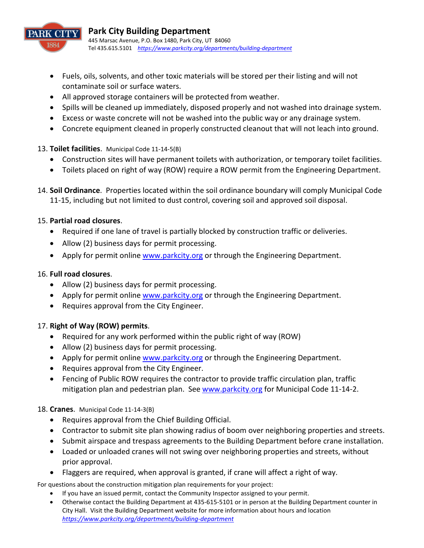

- Fuels, oils, solvents, and other toxic materials will be stored per their listing and will not contaminate soil or surface waters.
- All approved storage containers will be protected from weather.
- Spills will be cleaned up immediately, disposed properly and not washed into drainage system.
- Excess or waste concrete will not be washed into the public way or any drainage system.
- Concrete equipment cleaned in properly constructed cleanout that will not leach into ground.

# 13. **Toilet facilities**. Municipal Code 11-14-5(B)

- Construction sites will have permanent toilets with authorization, or temporary toilet facilities.
- Toilets placed on right of way (ROW) require a ROW permit from the Engineering Department.
- 14. **Soil Ordinance**. Properties located within the soil ordinance boundary will comply Municipal Code 11-15, including but not limited to dust control, covering soil and approved soil disposal.

# 15. **Partial road closures**.

- Required if one lane of travel is partially blocked by construction traffic or deliveries.
- Allow (2) business days for permit processing.
- Apply for permit online [www.parkcity.org](http://www.parkcity.org/) or through the Engineering Department.

# 16. **Full road closures**.

- Allow (2) business days for permit processing.
- Apply for permit online [www.parkcity.org](http://www.parkcity.org/) or through the Engineering Department.
- Requires approval from the City Engineer.

# 17. **Right of Way (ROW) permits**.

- Required for any work performed within the public right of way (ROW)
- Allow (2) business days for permit processing.
- Apply for permit online [www.parkcity.org](http://www.parkcity.org/) or through the Engineering Department.
- Requires approval from the City Engineer.
- Fencing of Public ROW requires the contractor to provide traffic circulation plan, traffic mitigation plan and pedestrian plan. See [www.parkcity.org](http://www.parkcity.org/) for Municipal Code 11-14-2.

# 18. **Cranes**. Municipal Code 11-14-3(B)

- Requires approval from the Chief Building Official.
- Contractor to submit site plan showing radius of boom over neighboring properties and streets.
- Submit airspace and trespass agreements to the Building Department before crane installation.
- Loaded or unloaded cranes will not swing over neighboring properties and streets, without prior approval.
- Flaggers are required, when approval is granted, if crane will affect a right of way.

- If you have an issued permit, contact the Community Inspector assigned to your permit.
- Otherwise contact the Building Department at 435-615-5101 or in person at the Building Department counter in City Hall. Visit the Building Department website for more information about hours and location *<https://www.parkcity.org/departments/building-department>*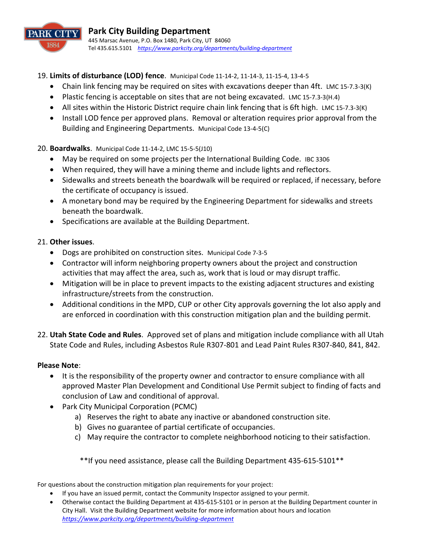

# 19. **Limits of disturbance (LOD) fence**. Municipal Code 11-14-2, 11-14-3, 11-15-4, 13-4-5

- Chain link fencing may be required on sites with excavations deeper than 4ft. LMC 15-7.3-3(K)
- Plastic fencing is acceptable on sites that are not being excavated. LMC 15-7.3-3(H.4)
- All sites within the Historic District require chain link fencing that is 6ft high. LMC 15-7.3-3(K)
- Install LOD fence per approved plans. Removal or alteration requires prior approval from the Building and Engineering Departments. Municipal Code 13-4-5(C)

#### 20. **Boardwalks**. Municipal Code 11-14-2, LMC 15-5-5(J10)

- May be required on some projects per the International Building Code. IBC 3306
- When required, they will have a mining theme and include lights and reflectors.
- Sidewalks and streets beneath the boardwalk will be required or replaced, if necessary, before the certificate of occupancy is issued.
- A monetary bond may be required by the Engineering Department for sidewalks and streets beneath the boardwalk.
- Specifications are available at the Building Department.

#### 21. **Other issues**.

- Dogs are prohibited on construction sites. Municipal Code 7-3-5
- Contractor will inform neighboring property owners about the project and construction activities that may affect the area, such as, work that is loud or may disrupt traffic.
- Mitigation will be in place to prevent impacts to the existing adjacent structures and existing infrastructure/streets from the construction.
- Additional conditions in the MPD, CUP or other City approvals governing the lot also apply and are enforced in coordination with this construction mitigation plan and the building permit.
- 22. **Utah State Code and Rules**. Approved set of plans and mitigation include compliance with all Utah State Code and Rules, including Asbestos Rule R307-801 and Lead Paint Rules R307-840, 841, 842.

### **Please Note**:

- It is the responsibility of the property owner and contractor to ensure compliance with all approved Master Plan Development and Conditional Use Permit subject to finding of facts and conclusion of Law and conditional of approval.
- Park City Municipal Corporation (PCMC)
	- a) Reserves the right to abate any inactive or abandoned construction site.
	- b) Gives no guarantee of partial certificate of occupancies.
	- c) May require the contractor to complete neighborhood noticing to their satisfaction.

\*\*If you need assistance, please call the Building Department 435-615-5101\*\*

- If you have an issued permit, contact the Community Inspector assigned to your permit.
- Otherwise contact the Building Department at 435-615-5101 or in person at the Building Department counter in City Hall. Visit the Building Department website for more information about hours and location *<https://www.parkcity.org/departments/building-department>*